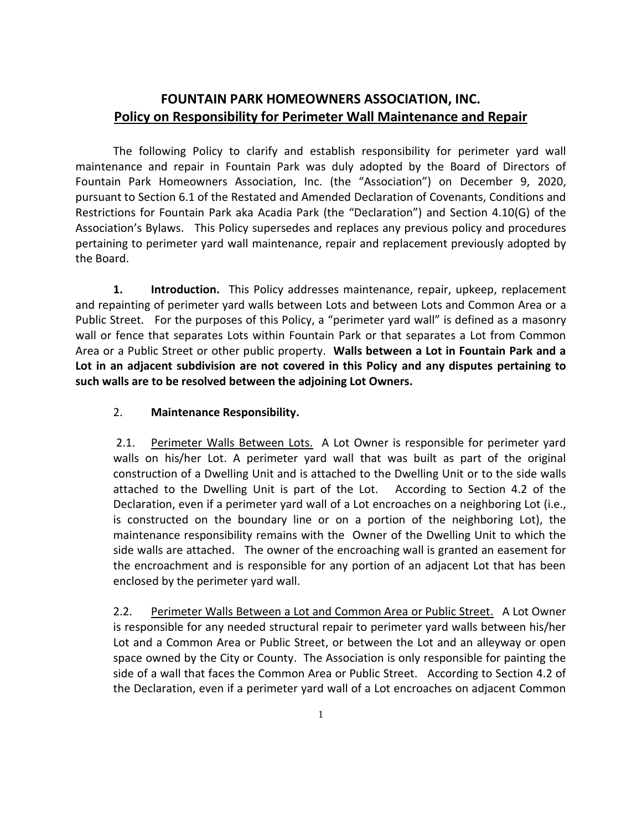## **FOUNTAIN PARK HOMEOWNERS ASSOCIATION, INC. Policy on Responsibility for Perimeter Wall Maintenance and Repair**

The following Policy to clarify and establish responsibility for perimeter yard wall maintenance and repair in Fountain Park was duly adopted by the Board of Directors of Fountain Park Homeowners Association, Inc. (the "Association") on December 9, 2020, pursuant to Section 6.1 of the Restated and Amended Declaration of Covenants, Conditions and Restrictions for Fountain Park aka Acadia Park (the "Declaration") and Section 4.10(G) of the Association's Bylaws. This Policy supersedes and replaces any previous policy and procedures pertaining to perimeter yard wall maintenance, repair and replacement previously adopted by the Board.

**1. Introduction.** This Policy addresses maintenance, repair, upkeep, replacement and repainting of perimeter yard walls between Lots and between Lots and Common Area or a Public Street. For the purposes of this Policy, a "perimeter yard wall" is defined as a masonry wall or fence that separates Lots within Fountain Park or that separates a Lot from Common Area or a Public Street or other public property. **Walls between a Lot in Fountain Park and a Lot in an adjacent subdivision are not covered in this Policy and any disputes pertaining to such walls are to be resolved between the adjoining Lot Owners.**

## 2. **Maintenance Responsibility.**

2.1. Perimeter Walls Between Lots. A Lot Owner is responsible for perimeter yard walls on his/her Lot. A perimeter yard wall that was built as part of the original construction of a Dwelling Unit and is attached to the Dwelling Unit or to the side walls attached to the Dwelling Unit is part of the Lot. According to Section 4.2 of the Declaration, even if a perimeter yard wall of a Lot encroaches on a neighboring Lot (i.e., is constructed on the boundary line or on a portion of the neighboring Lot), the maintenance responsibility remains with the Owner of the Dwelling Unit to which the side walls are attached. The owner of the encroaching wall is granted an easement for the encroachment and is responsible for any portion of an adjacent Lot that has been enclosed by the perimeter yard wall.

2.2. Perimeter Walls Between a Lot and Common Area or Public Street. A Lot Owner is responsible for any needed structural repair to perimeter yard walls between his/her Lot and a Common Area or Public Street, or between the Lot and an alleyway or open space owned by the City or County. The Association is only responsible for painting the side of a wall that faces the Common Area or Public Street. According to Section 4.2 of the Declaration, even if a perimeter yard wall of a Lot encroaches on adjacent Common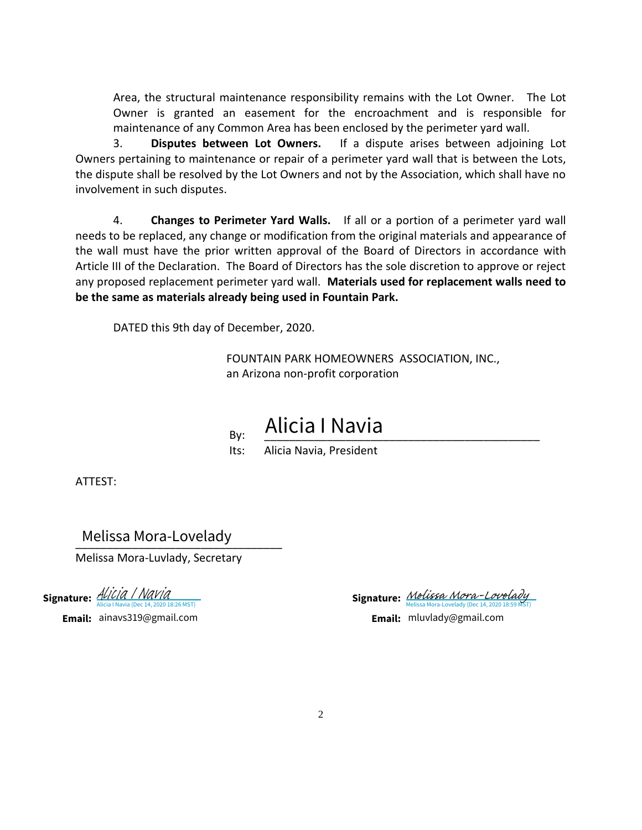Area, the structural maintenance responsibility remains with the Lot Owner. The Lot Owner is granted an easement for the encroachment and is responsible for maintenance of any Common Area has been enclosed by the perimeter yard wall.

3. **Disputes between Lot Owners.** If a dispute arises between adjoining Lot Owners pertaining to maintenance or repair of a perimeter yard wall that is between the Lots, the dispute shall be resolved by the Lot Owners and not by the Association, which shall have no involvement in such disputes.

4. **Changes to Perimeter Yard Walls.** If all or a portion of a perimeter yard wall needs to be replaced, any change or modification from the original materials and appearance of the wall must have the prior written approval of the Board of Directors in accordance with Article III of the Declaration. The Board of Directors has the sole discretion to approve or reject any proposed replacement perimeter yard wall. **Materials used for replacement walls need to be the same as materials already being used in Fountain Park.**

DATED this 9th day of December, 2020.

By:

FOUNTAIN PARK HOMEOWNERS ASSOCIATION, INC., an Arizona non-profit corporation

> \_\_\_\_\_\_\_\_\_\_\_\_\_\_\_\_\_\_\_\_\_\_\_\_\_\_\_\_\_\_\_\_\_\_\_\_\_\_\_\_\_\_\_\_ Alicia I Navia

Its: Alicia Navia, President

ATTEST:

\_\_\_\_\_\_\_\_\_\_\_\_\_\_\_\_\_\_\_\_\_\_\_\_\_\_\_\_\_\_\_\_\_ Melissa Mora-Lovelady

Melissa Mora-Luvlady, Secretary

Signature: ALICIA / NAVIA<br>[Alicia I Navia](https://na1.documents.adobe.com/verifier?tx=CBJCHBCAABAAvpcAjmKlHD2xnLJnV6m8_CM-7Yfiva9V) (Dec 14, 2020 18:26 MST)

**Email:** ainavs319@gmail.com

**Signature:** [Melissa Mora-Lovelady](https://na1.documents.adobe.com/verifier?tx=CBJCHBCAABAAvpcAjmKlHD2xnLJnV6m8_CM-7Yfiva9V) a-Lovelady (Dec 14, 2020 18:59

**Email:** mluvlady@gmail.com